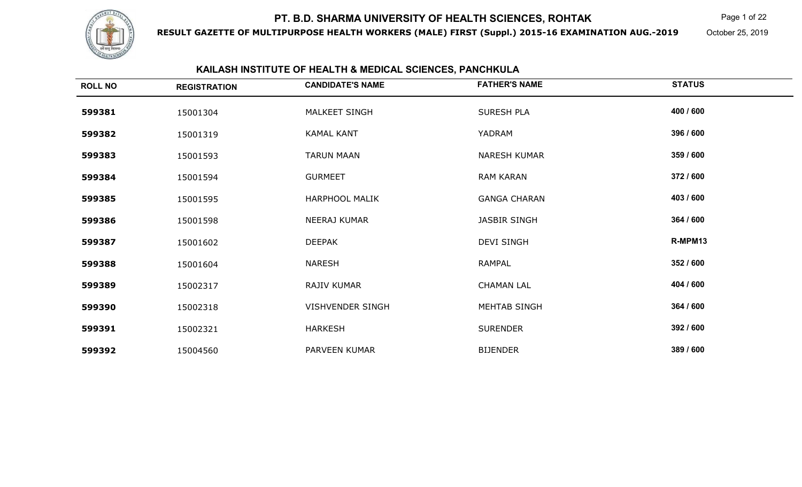

**RESULT GAZETTE OF MULTIPURPOSE HEALTH WORKERS (MALE) FIRST (Suppl.) 2015-16 EXAMINATION AUG.-2019**

Page 1 of 22

October 25, 2019

## **KAILASH INSTITUTE OF HEALTH & MEDICAL SCIENCES, PANCHKULA**

| <b>ROLL NO</b> | <b>REGISTRATION</b> | <b>CANDIDATE'S NAME</b> | <b>FATHER'S NAME</b> | <b>STATUS</b> |
|----------------|---------------------|-------------------------|----------------------|---------------|
| 599381         | 15001304            | MALKEET SINGH           | SURESH PLA           | 400 / 600     |
| 599382         | 15001319            | <b>KAMAL KANT</b>       | YADRAM               | 396 / 600     |
| 599383         | 15001593            | <b>TARUN MAAN</b>       | <b>NARESH KUMAR</b>  | 359 / 600     |
| 599384         | 15001594            | <b>GURMEET</b>          | <b>RAM KARAN</b>     | 372 / 600     |
| 599385         | 15001595            | <b>HARPHOOL MALIK</b>   | <b>GANGA CHARAN</b>  | 403 / 600     |
| 599386         | 15001598            | NEERAJ KUMAR            | <b>JASBIR SINGH</b>  | 364 / 600     |
| 599387         | 15001602            | <b>DEEPAK</b>           | <b>DEVI SINGH</b>    | R-MPM13       |
| 599388         | 15001604            | <b>NARESH</b>           | <b>RAMPAL</b>        | 352 / 600     |
| 599389         | 15002317            | RAJIV KUMAR             | <b>CHAMAN LAL</b>    | 404 / 600     |
| 599390         | 15002318            | VISHVENDER SINGH        | <b>MEHTAB SINGH</b>  | 364 / 600     |
| 599391         | 15002321            | <b>HARKESH</b>          | <b>SURENDER</b>      | 392 / 600     |
| 599392         | 15004560            | PARVEEN KUMAR           | <b>BIJENDER</b>      | 389 / 600     |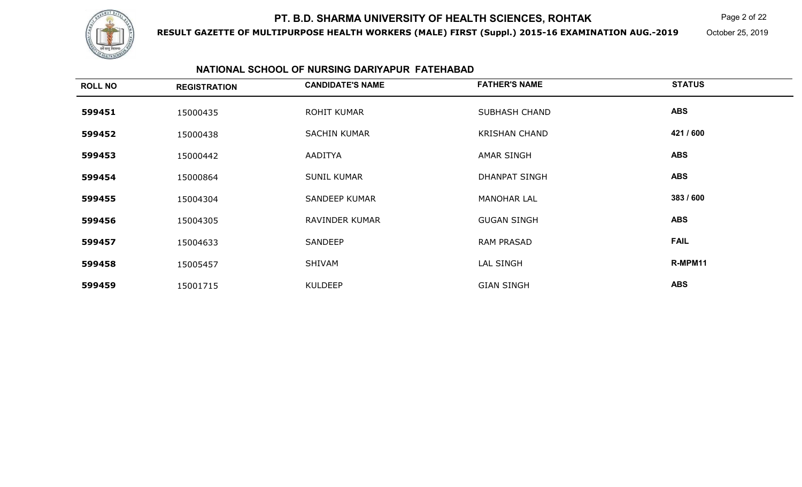

**RESULT GAZETTE OF MULTIPURPOSE HEALTH WORKERS (MALE) FIRST (Suppl.) 2015-16 EXAMINATION AUG.-2019**

 $\mathsf K$  Page 2 of 22

October 25, 2019

#### **NATIONAL SCHOOL OF NURSING DARIYAPUR FATEHABAD**

| <b>ROLL NO</b> | <b>REGISTRATION</b> | <b>CANDIDATE'S NAME</b> | <b>FATHER'S NAME</b> | <b>STATUS</b> |
|----------------|---------------------|-------------------------|----------------------|---------------|
| 599451         | 15000435            | ROHIT KUMAR             | <b>SUBHASH CHAND</b> | <b>ABS</b>    |
| 599452         | 15000438            | <b>SACHIN KUMAR</b>     | <b>KRISHAN CHAND</b> | 421 / 600     |
| 599453         | 15000442            | AADITYA                 | <b>AMAR SINGH</b>    | <b>ABS</b>    |
| 599454         | 15000864            | <b>SUNIL KUMAR</b>      | <b>DHANPAT SINGH</b> | <b>ABS</b>    |
| 599455         | 15004304            | <b>SANDEEP KUMAR</b>    | <b>MANOHAR LAL</b>   | 383 / 600     |
| 599456         | 15004305            | RAVINDER KUMAR          | <b>GUGAN SINGH</b>   | <b>ABS</b>    |
| 599457         | 15004633            | SANDEEP                 | <b>RAM PRASAD</b>    | <b>FAIL</b>   |
| 599458         | 15005457            | SHIVAM                  | LAL SINGH            | R-MPM11       |
| 599459         | 15001715            | <b>KULDEEP</b>          | <b>GIAN SINGH</b>    | <b>ABS</b>    |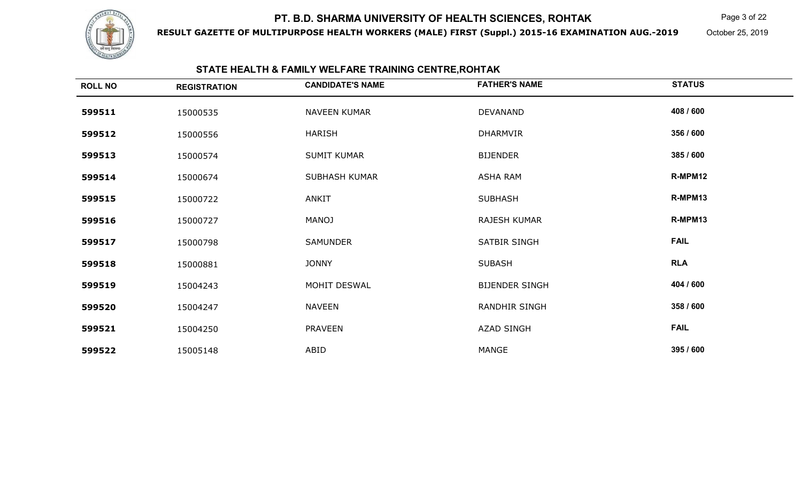

**RESULT GAZETTE OF MULTIPURPOSE HEALTH WORKERS (MALE) FIRST (Suppl.) 2015-16 EXAMINATION AUG.-2019**

Page 3 of 22

October 25, 2019

#### **STATE HEALTH & FAMILY WELFARE TRAINING CENTRE,ROHTAK**

| <b>ROLL NO</b> | <b>REGISTRATION</b> | <b>CANDIDATE'S NAME</b> | <b>FATHER'S NAME</b>  | <b>STATUS</b> |
|----------------|---------------------|-------------------------|-----------------------|---------------|
| 599511         | 15000535            | NAVEEN KUMAR            | DEVANAND              | 408 / 600     |
| 599512         | 15000556            | HARISH                  | DHARMVIR              | 356 / 600     |
| 599513         | 15000574            | <b>SUMIT KUMAR</b>      | <b>BIJENDER</b>       | 385 / 600     |
| 599514         | 15000674            | <b>SUBHASH KUMAR</b>    | <b>ASHA RAM</b>       | R-MPM12       |
| 599515         | 15000722            | ANKIT                   | <b>SUBHASH</b>        | R-MPM13       |
| 599516         | 15000727            | <b>MANOJ</b>            | RAJESH KUMAR          | R-MPM13       |
| 599517         | 15000798            | <b>SAMUNDER</b>         | SATBIR SINGH          | <b>FAIL</b>   |
| 599518         | 15000881            | <b>JONNY</b>            | <b>SUBASH</b>         | <b>RLA</b>    |
| 599519         | 15004243            | MOHIT DESWAL            | <b>BIJENDER SINGH</b> | 404 / 600     |
| 599520         | 15004247            | <b>NAVEEN</b>           | RANDHIR SINGH         | 358 / 600     |
| 599521         | 15004250            | <b>PRAVEEN</b>          | <b>AZAD SINGH</b>     | <b>FAIL</b>   |
| 599522         | 15005148            | ABID                    | MANGE                 | 395 / 600     |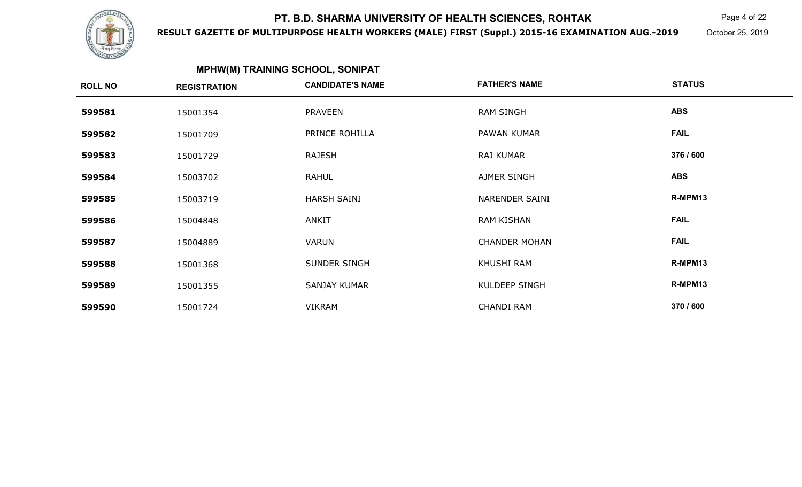

**RESULT GAZETTE OF MULTIPURPOSE HEALTH WORKERS (MALE) FIRST (Suppl.) 2015-16 EXAMINATION AUG.-2019**

 $\mathsf K$  Page 4 of 22

October 25, 2019

| <b>MPHW(M) TRAINING SCHOOL, SONIPAT</b> |                     |                         |                      |               |
|-----------------------------------------|---------------------|-------------------------|----------------------|---------------|
| <b>ROLL NO</b>                          | <b>REGISTRATION</b> | <b>CANDIDATE'S NAME</b> | <b>FATHER'S NAME</b> | <b>STATUS</b> |
| 599581                                  | 15001354            | <b>PRAVEEN</b>          | <b>RAM SINGH</b>     | <b>ABS</b>    |
| 599582                                  | 15001709            | PRINCE ROHILLA          | PAWAN KUMAR          | <b>FAIL</b>   |
| 599583                                  | 15001729            | <b>RAJESH</b>           | RAJ KUMAR            | 376 / 600     |
| 599584                                  | 15003702            | <b>RAHUL</b>            | AJMER SINGH          | <b>ABS</b>    |
| 599585                                  | 15003719            | <b>HARSH SAINI</b>      | NARENDER SAINI       | R-MPM13       |
| 599586                                  | 15004848            | <b>ANKIT</b>            | <b>RAM KISHAN</b>    | <b>FAIL</b>   |
| 599587                                  | 15004889            | <b>VARUN</b>            | <b>CHANDER MOHAN</b> | <b>FAIL</b>   |
| 599588                                  | 15001368            | SUNDER SINGH            | KHUSHI RAM           | R-MPM13       |
| 599589                                  | 15001355            | SANJAY KUMAR            | KULDEEP SINGH        | R-MPM13       |
| 599590                                  | 15001724            | <b>VIKRAM</b>           | <b>CHANDI RAM</b>    | 370 / 600     |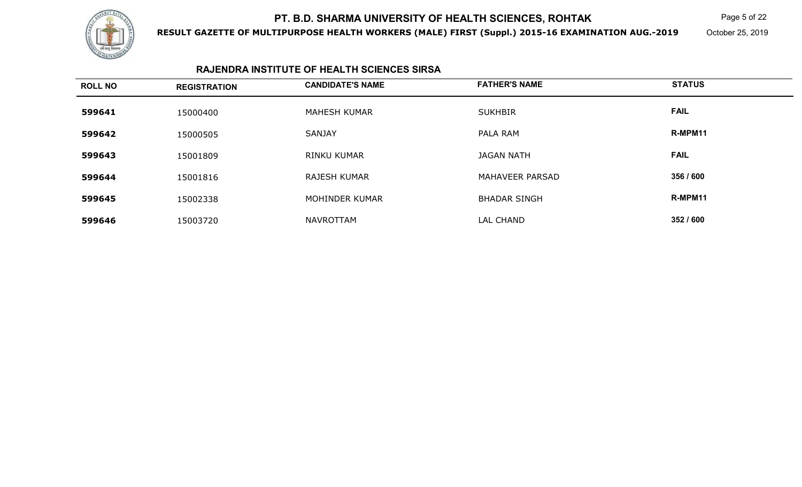

**RESULT GAZETTE OF MULTIPURPOSE HEALTH WORKERS (MALE) FIRST (Suppl.) 2015-16 EXAMINATION AUG.-2019**

 $\mathsf K$  Page 5 of 22

October 25, 2019

#### **RAJENDRA INSTITUTE OF HEALTH SCIENCES SIRSA**

| <b>ROLL NO</b> | <b>REGISTRATION</b> | <b>CANDIDATE'S NAME</b> | <b>FATHER'S NAME</b>   | <b>STATUS</b> |
|----------------|---------------------|-------------------------|------------------------|---------------|
| 599641         | 15000400            | <b>MAHESH KUMAR</b>     | <b>SUKHBIR</b>         | <b>FAIL</b>   |
| 599642         | 15000505            | <b>SANJAY</b>           | PALA RAM               | R-MPM11       |
| 599643         | 15001809            | <b>RINKU KUMAR</b>      | <b>JAGAN NATH</b>      | <b>FAIL</b>   |
| 599644         | 15001816            | <b>RAJESH KUMAR</b>     | <b>MAHAVEER PARSAD</b> | 356 / 600     |
| 599645         | 15002338            | MOHINDER KUMAR          | <b>BHADAR SINGH</b>    | R-MPM11       |
| 599646         | 15003720            | <b>NAVROTTAM</b>        | <b>LAL CHAND</b>       | 352 / 600     |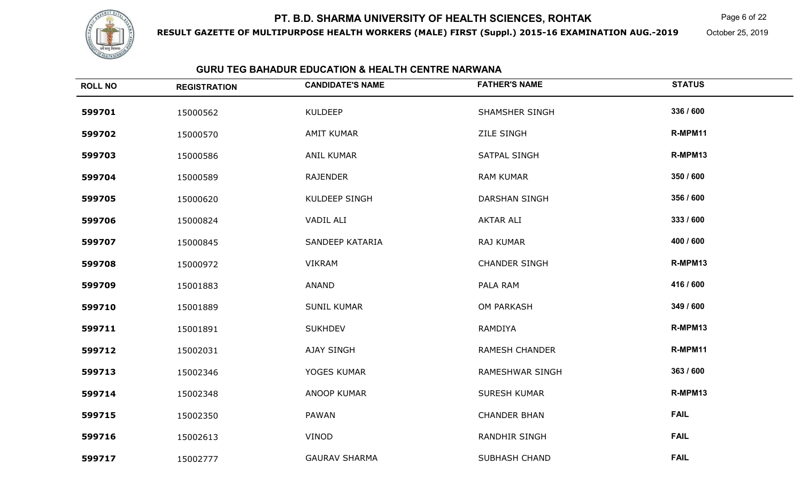

**RESULT GAZETTE OF MULTIPURPOSE HEALTH WORKERS (MALE) FIRST (Suppl.) 2015-16 EXAMINATION AUG.-2019**

 $\mathsf K$  Page 6 of 22

October 25, 2019

#### **GURU TEG BAHADUR EDUCATION & HEALTH CENTRE NARWANA**

| <b>ROLL NO</b> | <b>REGISTRATION</b> | <b>CANDIDATE'S NAME</b> | <b>FATHER'S NAME</b>   | <b>STATUS</b> |
|----------------|---------------------|-------------------------|------------------------|---------------|
| 599701         | 15000562            | <b>KULDEEP</b>          | SHAMSHER SINGH         | 336 / 600     |
| 599702         | 15000570            | <b>AMIT KUMAR</b>       | <b>ZILE SINGH</b>      | R-MPM11       |
| 599703         | 15000586            | <b>ANIL KUMAR</b>       | SATPAL SINGH           | R-MPM13       |
| 599704         | 15000589            | <b>RAJENDER</b>         | <b>RAM KUMAR</b>       | 350 / 600     |
| 599705         | 15000620            | KULDEEP SINGH           | <b>DARSHAN SINGH</b>   | 356 / 600     |
| 599706         | 15000824            | <b>VADIL ALI</b>        | <b>AKTAR ALI</b>       | 333 / 600     |
| 599707         | 15000845            | SANDEEP KATARIA         | RAJ KUMAR              | 400 / 600     |
| 599708         | 15000972            | <b>VIKRAM</b>           | <b>CHANDER SINGH</b>   | R-MPM13       |
| 599709         | 15001883            | <b>ANAND</b>            | PALA RAM               | 416 / 600     |
| 599710         | 15001889            | <b>SUNIL KUMAR</b>      | OM PARKASH             | 349 / 600     |
| 599711         | 15001891            | <b>SUKHDEV</b>          | RAMDIYA                | R-MPM13       |
| 599712         | 15002031            | <b>AJAY SINGH</b>       | <b>RAMESH CHANDER</b>  | R-MPM11       |
| 599713         | 15002346            | YOGES KUMAR             | <b>RAMESHWAR SINGH</b> | 363 / 600     |
| 599714         | 15002348            | <b>ANOOP KUMAR</b>      | <b>SURESH KUMAR</b>    | R-MPM13       |
| 599715         | 15002350            | <b>PAWAN</b>            | <b>CHANDER BHAN</b>    | <b>FAIL</b>   |
| 599716         | 15002613            | VINOD                   | <b>RANDHIR SINGH</b>   | <b>FAIL</b>   |
| 599717         | 15002777            | <b>GAURAV SHARMA</b>    | <b>SUBHASH CHAND</b>   | <b>FAIL</b>   |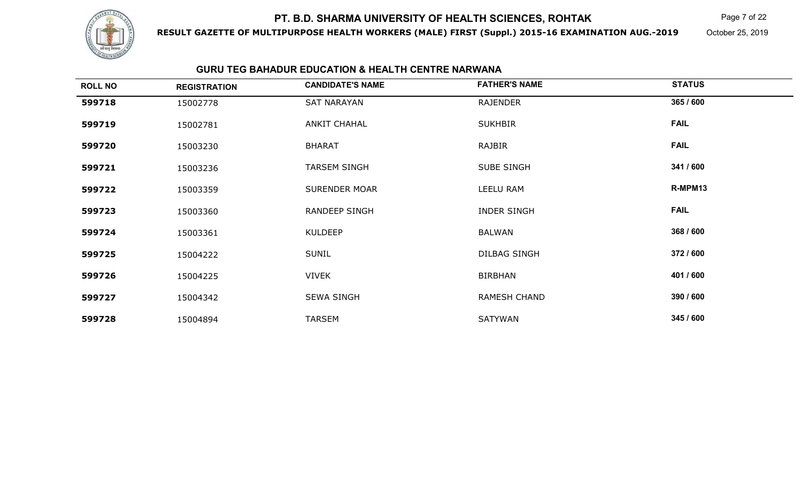

**RESULT GAZETTE OF MULTIPURPOSE HEALTH WORKERS (MALE) FIRST (Suppl.) 2015-16 EXAMINATION AUG.-2019**

 $\mathsf K$  Page 7 of 22

October 25, 2019

#### **GURU TEG BAHADUR EDUCATION & HEALTH CENTRE NARWANA**

| <b>ROLL NO</b> | <b>REGISTRATION</b> | <b>CANDIDATE'S NAME</b> | <b>FATHER'S NAME</b> | <b>STATUS</b> |
|----------------|---------------------|-------------------------|----------------------|---------------|
| 599718         | 15002778            | SAT NARAYAN             | RAJENDER             | 365 / 600     |
| 599719         | 15002781            | <b>ANKIT CHAHAL</b>     | <b>SUKHBIR</b>       | <b>FAIL</b>   |
| 599720         | 15003230            | <b>BHARAT</b>           | RAJBIR               | <b>FAIL</b>   |
| 599721         | 15003236            | <b>TARSEM SINGH</b>     | <b>SUBE SINGH</b>    | 341 / 600     |
| 599722         | 15003359            | <b>SURENDER MOAR</b>    | LEELU RAM            | R-MPM13       |
| 599723         | 15003360            | <b>RANDEEP SINGH</b>    | <b>INDER SINGH</b>   | <b>FAIL</b>   |
| 599724         | 15003361            | <b>KULDEEP</b>          | <b>BALWAN</b>        | 368 / 600     |
| 599725         | 15004222            | <b>SUNIL</b>            | <b>DILBAG SINGH</b>  | 372 / 600     |
| 599726         | 15004225            | <b>VIVEK</b>            | <b>BIRBHAN</b>       | 401 / 600     |
| 599727         | 15004342            | <b>SEWA SINGH</b>       | <b>RAMESH CHAND</b>  | 390 / 600     |
| 599728         | 15004894            | <b>TARSEM</b>           | SATYWAN              | 345 / 600     |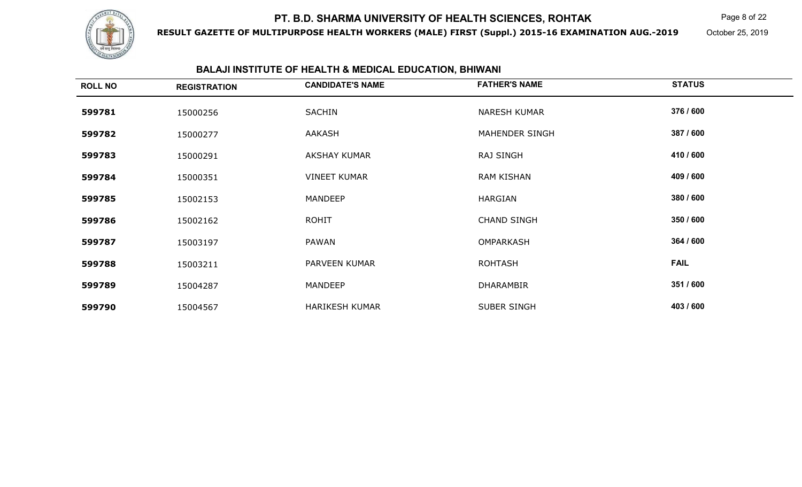

**RESULT GAZETTE OF MULTIPURPOSE HEALTH WORKERS (MALE) FIRST (Suppl.) 2015-16 EXAMINATION AUG.-2019**

Page 8 of 22

October 25, 2019

#### **BALAJI INSTITUTE OF HEALTH & MEDICAL EDUCATION, BHIWANI**

| <b>ROLL NO</b> | <b>REGISTRATION</b> | <b>CANDIDATE'S NAME</b> | <b>FATHER'S NAME</b> | <b>STATUS</b> |
|----------------|---------------------|-------------------------|----------------------|---------------|
| 599781         | 15000256            | <b>SACHIN</b>           | <b>NARESH KUMAR</b>  | 376 / 600     |
| 599782         | 15000277            | AAKASH                  | MAHENDER SINGH       | 387 / 600     |
| 599783         | 15000291            | <b>AKSHAY KUMAR</b>     | <b>RAJ SINGH</b>     | 410 / 600     |
| 599784         | 15000351            | <b>VINEET KUMAR</b>     | <b>RAM KISHAN</b>    | 409 / 600     |
| 599785         | 15002153            | <b>MANDEEP</b>          | HARGIAN              | 380 / 600     |
| 599786         | 15002162            | <b>ROHIT</b>            | <b>CHAND SINGH</b>   | 350 / 600     |
| 599787         | 15003197            | PAWAN                   | OMPARKASH            | 364 / 600     |
| 599788         | 15003211            | PARVEEN KUMAR           | <b>ROHTASH</b>       | <b>FAIL</b>   |
| 599789         | 15004287            | <b>MANDEEP</b>          | <b>DHARAMBIR</b>     | 351 / 600     |
| 599790         | 15004567            | <b>HARIKESH KUMAR</b>   | SUBER SINGH          | 403 / 600     |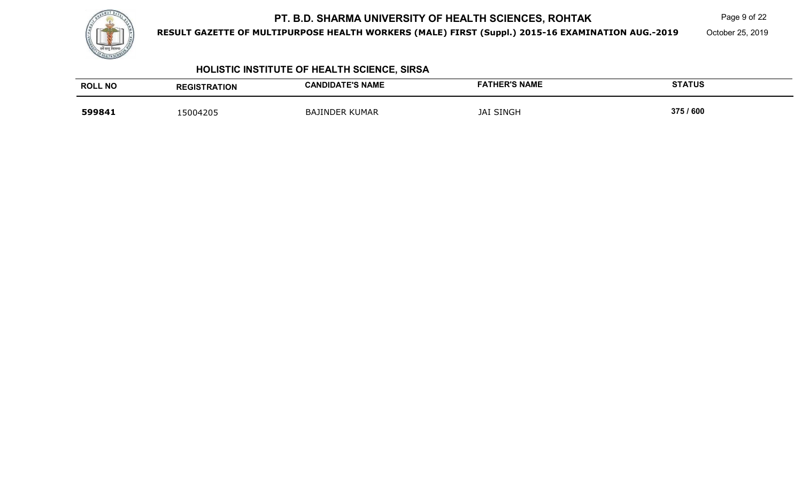

**RESULT GAZETTE OF MULTIPURPOSE HEALTH WORKERS (MALE) FIRST (Suppl.) 2015-16 EXAMINATION AUG.-2019**

 $\mathsf K$  Page 9 of 22

October 25, 2019

## **HOLISTIC INSTITUTE OF HEALTH SCIENCE, SIRSA**

| <b>ROLL NO</b> | <b>REGISTRATION</b> | <b>CANDIDATE'S NAME</b> | <b>FATHER'S NAME</b> | <b>STATUS</b> |
|----------------|---------------------|-------------------------|----------------------|---------------|
| 599841         | 15004205            | <b>BAJINDER KUMAR</b>   | <b>JAI SINGH</b>     | 375 / 600     |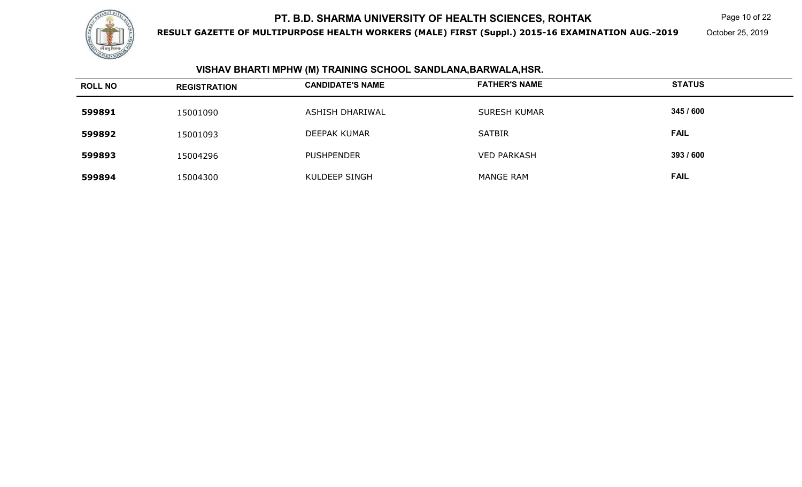

**RESULT GAZETTE OF MULTIPURPOSE HEALTH WORKERS (MALE) FIRST (Suppl.) 2015-16 EXAMINATION AUG.-2019**

Page 10 of 22

October 25, 2019

#### **VISHAV BHARTI MPHW (M) TRAINING SCHOOL SANDLANA,BARWALA,HSR.**

| <b>ROLL NO</b> | <b>REGISTRATION</b> | <b>CANDIDATE'S NAME</b> | <b>FATHER'S NAME</b> | <b>STATUS</b> |
|----------------|---------------------|-------------------------|----------------------|---------------|
| 599891         | 15001090            | ASHISH DHARIWAL         | <b>SURESH KUMAR</b>  | 345 / 600     |
| 599892         | 15001093            | DEEPAK KUMAR            | <b>SATBIR</b>        | <b>FAIL</b>   |
| 599893         | 15004296            | <b>PUSHPENDER</b>       | <b>VED PARKASH</b>   | 393 / 600     |
| 599894         | 15004300            | KULDEEP SINGH           | <b>MANGE RAM</b>     | <b>FAIL</b>   |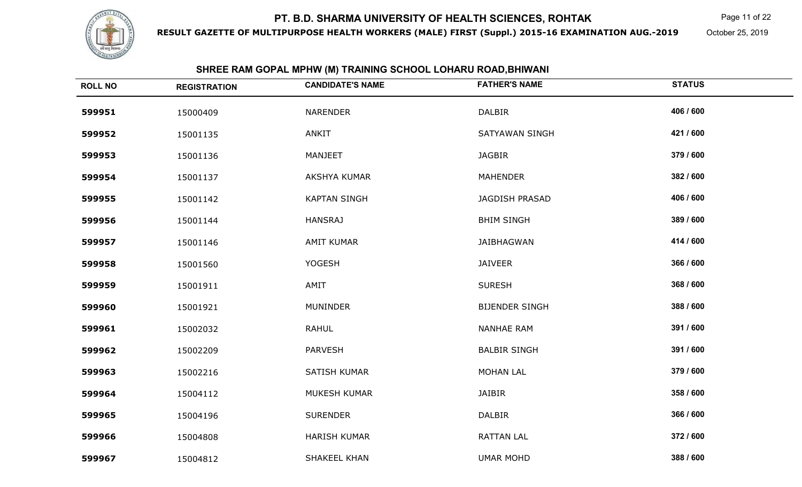

**RESULT GAZETTE OF MULTIPURPOSE HEALTH WORKERS (MALE) FIRST (Suppl.) 2015-16 EXAMINATION AUG.-2019**

Page 11 of 22

October 25, 2019

| <b>ROLL NO</b> | <b>REGISTRATION</b> | SHREE RAM GOPAL MPHW (M) TRAINING SCHOOL LOHARU ROAD,BHIWANI<br><b>CANDIDATE'S NAME</b> | <b>FATHER'S NAME</b>  | <b>STATUS</b> |
|----------------|---------------------|-----------------------------------------------------------------------------------------|-----------------------|---------------|
|                |                     |                                                                                         |                       |               |
| 599951         | 15000409            | <b>NARENDER</b>                                                                         | <b>DALBIR</b>         | 406 / 600     |
| 599952         | 15001135            | <b>ANKIT</b>                                                                            | SATYAWAN SINGH        | 421 / 600     |
| 599953         | 15001136            | MANJEET                                                                                 | <b>JAGBIR</b>         | 379 / 600     |
| 599954         | 15001137            | AKSHYA KUMAR                                                                            | <b>MAHENDER</b>       | 382 / 600     |
| 599955         | 15001142            | <b>KAPTAN SINGH</b>                                                                     | JAGDISH PRASAD        | 406 / 600     |
| 599956         | 15001144            | <b>HANSRAJ</b>                                                                          | <b>BHIM SINGH</b>     | 389 / 600     |
| 599957         | 15001146            | <b>AMIT KUMAR</b>                                                                       | JAIBHAGWAN            | 414 / 600     |
| 599958         | 15001560            | <b>YOGESH</b>                                                                           | <b>JAIVEER</b>        | 366 / 600     |
| 599959         | 15001911            | AMIT                                                                                    | <b>SURESH</b>         | 368 / 600     |
| 599960         | 15001921            | <b>MUNINDER</b>                                                                         | <b>BIJENDER SINGH</b> | 388 / 600     |
| 599961         | 15002032            | <b>RAHUL</b>                                                                            | <b>NANHAE RAM</b>     | 391 / 600     |
| 599962         | 15002209            | <b>PARVESH</b>                                                                          | <b>BALBIR SINGH</b>   | 391 / 600     |
| 599963         | 15002216            | SATISH KUMAR                                                                            | <b>MOHAN LAL</b>      | 379 / 600     |
| 599964         | 15004112            | MUKESH KUMAR                                                                            | <b>JAIBIR</b>         | 358 / 600     |
| 599965         | 15004196            | <b>SURENDER</b>                                                                         | <b>DALBIR</b>         | 366 / 600     |
| 599966         | 15004808            | <b>HARISH KUMAR</b>                                                                     | <b>RATTAN LAL</b>     | 372 / 600     |
| 599967         | 15004812            | SHAKEEL KHAN                                                                            | <b>UMAR MOHD</b>      | 388 / 600     |

#### **SHREE RAM GOPAL MPHW (M) TRAINING SCHOOL LOHARU ROAD,BHIWANI**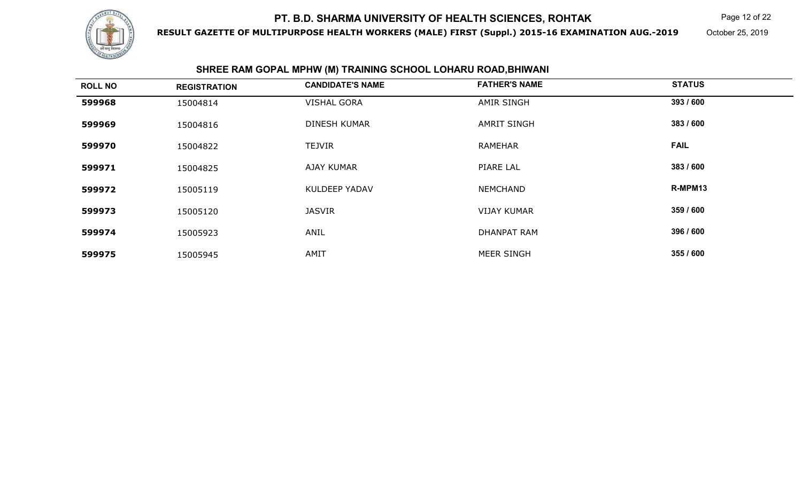

**RESULT GAZETTE OF MULTIPURPOSE HEALTH WORKERS (MALE) FIRST (Suppl.) 2015-16 EXAMINATION AUG.-2019**

Page 12 of 22

October 25, 2019

#### **SHREE RAM GOPAL MPHW (M) TRAINING SCHOOL LOHARU ROAD,BHIWANI**

| <b>ROLL NO</b> | <b>REGISTRATION</b> | <b>CANDIDATE'S NAME</b> | <b>FATHER'S NAME</b> | <b>STATUS</b> |
|----------------|---------------------|-------------------------|----------------------|---------------|
| 599968         | 15004814            | <b>VISHAL GORA</b>      | <b>AMIR SINGH</b>    | 393 / 600     |
| 599969         | 15004816            | <b>DINESH KUMAR</b>     | <b>AMRIT SINGH</b>   | 383 / 600     |
| 599970         | 15004822            | TEJVIR                  | <b>RAMEHAR</b>       | <b>FAIL</b>   |
| 599971         | 15004825            | <b>AJAY KUMAR</b>       | PIARE LAL            | 383 / 600     |
| 599972         | 15005119            | <b>KULDEEP YADAV</b>    | <b>NEMCHAND</b>      | R-MPM13       |
| 599973         | 15005120            | <b>JASVIR</b>           | <b>VIJAY KUMAR</b>   | 359 / 600     |
| 599974         | 15005923            | ANIL                    | <b>DHANPAT RAM</b>   | 396 / 600     |
| 599975         | 15005945            | AMIT                    | <b>MEER SINGH</b>    | 355 / 600     |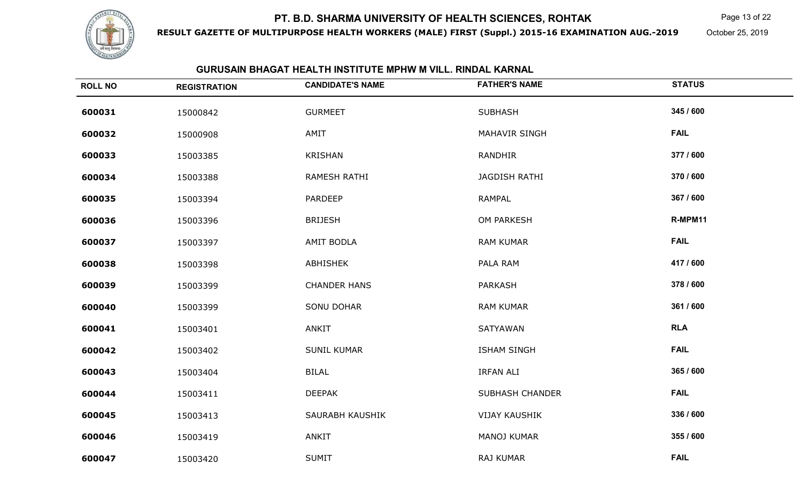

**RESULT GAZETTE OF MULTIPURPOSE HEALTH WORKERS (MALE) FIRST (Suppl.) 2015-16 EXAMINATION AUG.-2019**

Page 13 of 22

October 25, 2019

#### **GURUSAIN BHAGAT HEALTH INSTITUTE MPHW M VILL. RINDAL KARNAL**

| <b>ROLL NO</b> | <b>REGISTRATION</b> | <b>CANDIDATE'S NAME</b> | <b>FATHER'S NAME</b>   | <b>STATUS</b> |
|----------------|---------------------|-------------------------|------------------------|---------------|
| 600031         | 15000842            | <b>GURMEET</b>          | <b>SUBHASH</b>         | 345 / 600     |
| 600032         | 15000908            | AMIT                    | <b>MAHAVIR SINGH</b>   | <b>FAIL</b>   |
| 600033         | 15003385            | KRISHAN                 | <b>RANDHIR</b>         | 377 / 600     |
| 600034         | 15003388            | RAMESH RATHI            | JAGDISH RATHI          | 370 / 600     |
| 600035         | 15003394            | <b>PARDEEP</b>          | RAMPAL                 | 367 / 600     |
| 600036         | 15003396            | <b>BRIJESH</b>          | OM PARKESH             | R-MPM11       |
| 600037         | 15003397            | AMIT BODLA              | <b>RAM KUMAR</b>       | <b>FAIL</b>   |
| 600038         | 15003398            | ABHISHEK                | PALA RAM               | 417 / 600     |
| 600039         | 15003399            | <b>CHANDER HANS</b>     | <b>PARKASH</b>         | 378 / 600     |
| 600040         | 15003399            | <b>SONU DOHAR</b>       | <b>RAM KUMAR</b>       | 361 / 600     |
| 600041         | 15003401            | ANKIT                   | SATYAWAN               | <b>RLA</b>    |
| 600042         | 15003402            | <b>SUNIL KUMAR</b>      | <b>ISHAM SINGH</b>     | <b>FAIL</b>   |
| 600043         | 15003404            | <b>BILAL</b>            | <b>IRFAN ALI</b>       | 365 / 600     |
| 600044         | 15003411            | <b>DEEPAK</b>           | <b>SUBHASH CHANDER</b> | <b>FAIL</b>   |
| 600045         | 15003413            | SAURABH KAUSHIK         | <b>VIJAY KAUSHIK</b>   | 336 / 600     |
| 600046         | 15003419            | ANKIT                   | <b>MANOJ KUMAR</b>     | 355 / 600     |
| 600047         | 15003420            | <b>SUMIT</b>            | RAJ KUMAR              | <b>FAIL</b>   |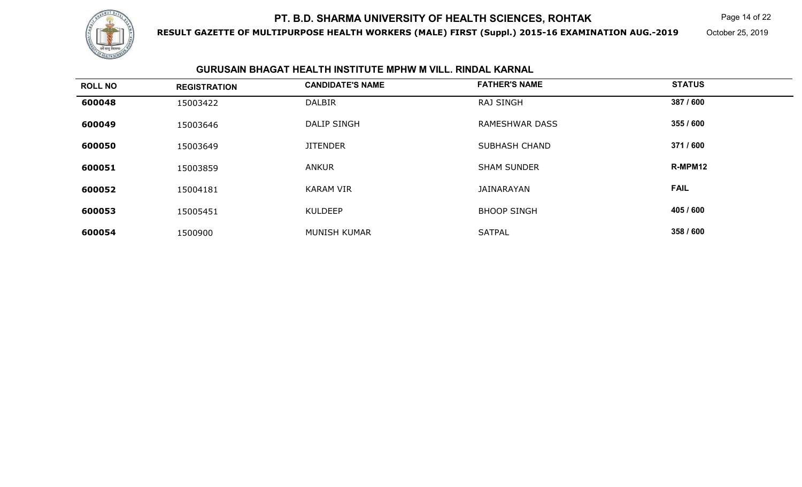

**RESULT GAZETTE OF MULTIPURPOSE HEALTH WORKERS (MALE) FIRST (Suppl.) 2015-16 EXAMINATION AUG.-2019**

Page 14 of 22

October 25, 2019

#### **GURUSAIN BHAGAT HEALTH INSTITUTE MPHW M VILL. RINDAL KARNAL**

| <b>ROLL NO</b> | <b>REGISTRATION</b> | <b>CANDIDATE'S NAME</b> | <b>FATHER'S NAME</b>  | <b>STATUS</b> |
|----------------|---------------------|-------------------------|-----------------------|---------------|
| 600048         | 15003422            | <b>DALBIR</b>           | <b>RAJ SINGH</b>      | 387 / 600     |
| 600049         | 15003646            | <b>DALIP SINGH</b>      | <b>RAMESHWAR DASS</b> | 355 / 600     |
| 600050         | 15003649            | <b>JITENDER</b>         | <b>SUBHASH CHAND</b>  | 371 / 600     |
| 600051         | 15003859            | <b>ANKUR</b>            | <b>SHAM SUNDER</b>    | R-MPM12       |
| 600052         | 15004181            | <b>KARAM VIR</b>        | JAINARAYAN            | <b>FAIL</b>   |
| 600053         | 15005451            | <b>KULDEEP</b>          | <b>BHOOP SINGH</b>    | 405 / 600     |
| 600054         | 1500900             | MUNISH KUMAR            | <b>SATPAL</b>         | 358 / 600     |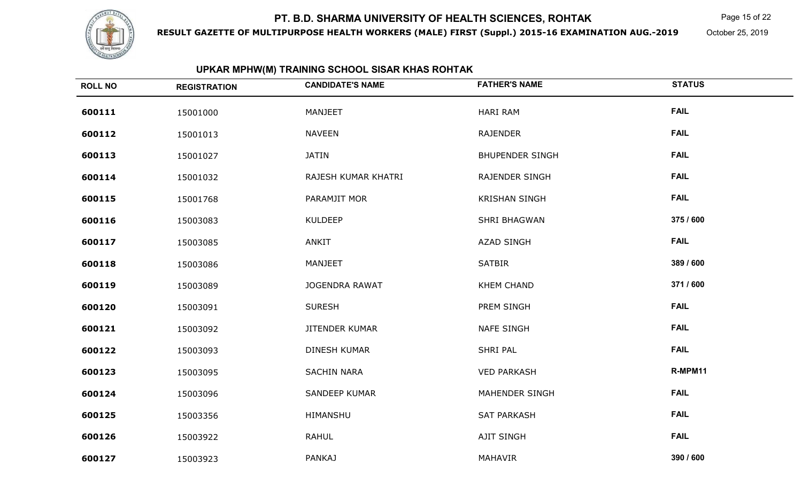

**RESULT GAZETTE OF MULTIPURPOSE HEALTH WORKERS (MALE) FIRST (Suppl.) 2015-16 EXAMINATION AUG.-2019**

Page 15 of 22

October 25, 2019

## **UPKAR MPHW(M) TRAINING SCHOOL SISAR KHAS ROHTAK**

| <b>ROLL NO</b> | <b>REGISTRATION</b> | <b>CANDIDATE'S NAME</b> | <b>FATHER'S NAME</b>   | <b>STATUS</b> |
|----------------|---------------------|-------------------------|------------------------|---------------|
| 600111         | 15001000            | <b>MANJEET</b>          | <b>HARI RAM</b>        | <b>FAIL</b>   |
| 600112         | 15001013            | <b>NAVEEN</b>           | <b>RAJENDER</b>        | <b>FAIL</b>   |
| 600113         | 15001027            | <b>JATIN</b>            | <b>BHUPENDER SINGH</b> | <b>FAIL</b>   |
| 600114         | 15001032            | RAJESH KUMAR KHATRI     | RAJENDER SINGH         | <b>FAIL</b>   |
| 600115         | 15001768            | PARAMJIT MOR            | <b>KRISHAN SINGH</b>   | <b>FAIL</b>   |
| 600116         | 15003083            | <b>KULDEEP</b>          | <b>SHRI BHAGWAN</b>    | 375 / 600     |
| 600117         | 15003085            | ANKIT                   | <b>AZAD SINGH</b>      | <b>FAIL</b>   |
| 600118         | 15003086            | MANJEET                 | <b>SATBIR</b>          | 389 / 600     |
| 600119         | 15003089            | <b>JOGENDRA RAWAT</b>   | <b>KHEM CHAND</b>      | 371 / 600     |
| 600120         | 15003091            | <b>SURESH</b>           | PREM SINGH             | <b>FAIL</b>   |
| 600121         | 15003092            | <b>JITENDER KUMAR</b>   | <b>NAFE SINGH</b>      | <b>FAIL</b>   |
| 600122         | 15003093            | <b>DINESH KUMAR</b>     | <b>SHRI PAL</b>        | <b>FAIL</b>   |
| 600123         | 15003095            | <b>SACHIN NARA</b>      | <b>VED PARKASH</b>     | R-MPM11       |
| 600124         | 15003096            | SANDEEP KUMAR           | MAHENDER SINGH         | <b>FAIL</b>   |
| 600125         | 15003356            | HIMANSHU                | <b>SAT PARKASH</b>     | <b>FAIL</b>   |
| 600126         | 15003922            | <b>RAHUL</b>            | AJIT SINGH             | <b>FAIL</b>   |
| 600127         | 15003923            | <b>PANKAJ</b>           | MAHAVIR                | 390 / 600     |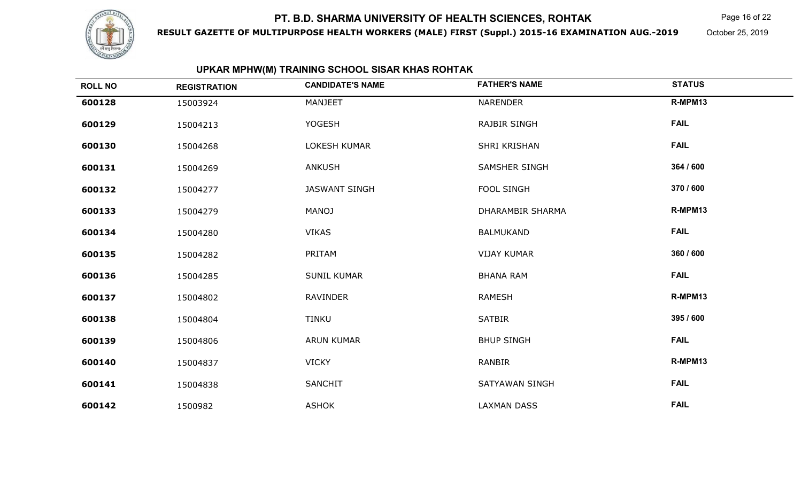

**RESULT GAZETTE OF MULTIPURPOSE HEALTH WORKERS (MALE) FIRST (Suppl.) 2015-16 EXAMINATION AUG.-2019**

Page 16 of 22

October 25, 2019

## **UPKAR MPHW(M) TRAINING SCHOOL SISAR KHAS ROHTAK**

| <b>ROLL NO</b> | <b>REGISTRATION</b> | <b>CANDIDATE'S NAME</b> | <b>FATHER'S NAME</b> | <b>STATUS</b> |
|----------------|---------------------|-------------------------|----------------------|---------------|
| 600128         | 15003924            | <b>MANJEET</b>          | <b>NARENDER</b>      | R-MPM13       |
| 600129         | 15004213            | <b>YOGESH</b>           | <b>RAJBIR SINGH</b>  | <b>FAIL</b>   |
| 600130         | 15004268            | LOKESH KUMAR            | SHRI KRISHAN         | <b>FAIL</b>   |
| 600131         | 15004269            | <b>ANKUSH</b>           | SAMSHER SINGH        | 364 / 600     |
| 600132         | 15004277            | <b>JASWANT SINGH</b>    | FOOL SINGH           | 370 / 600     |
| 600133         | 15004279            | <b>MANOJ</b>            | DHARAMBIR SHARMA     | R-MPM13       |
| 600134         | 15004280            | <b>VIKAS</b>            | <b>BALMUKAND</b>     | <b>FAIL</b>   |
| 600135         | 15004282            | PRITAM                  | <b>VIJAY KUMAR</b>   | 360 / 600     |
| 600136         | 15004285            | <b>SUNIL KUMAR</b>      | <b>BHANA RAM</b>     | <b>FAIL</b>   |
| 600137         | 15004802            | <b>RAVINDER</b>         | <b>RAMESH</b>        | R-MPM13       |
| 600138         | 15004804            | <b>TINKU</b>            | <b>SATBIR</b>        | 395 / 600     |
| 600139         | 15004806            | <b>ARUN KUMAR</b>       | <b>BHUP SINGH</b>    | <b>FAIL</b>   |
| 600140         | 15004837            | <b>VICKY</b>            | <b>RANBIR</b>        | R-MPM13       |
| 600141         | 15004838            | SANCHIT                 | SATYAWAN SINGH       | <b>FAIL</b>   |
| 600142         | 1500982             | ASHOK                   | <b>LAXMAN DASS</b>   | <b>FAIL</b>   |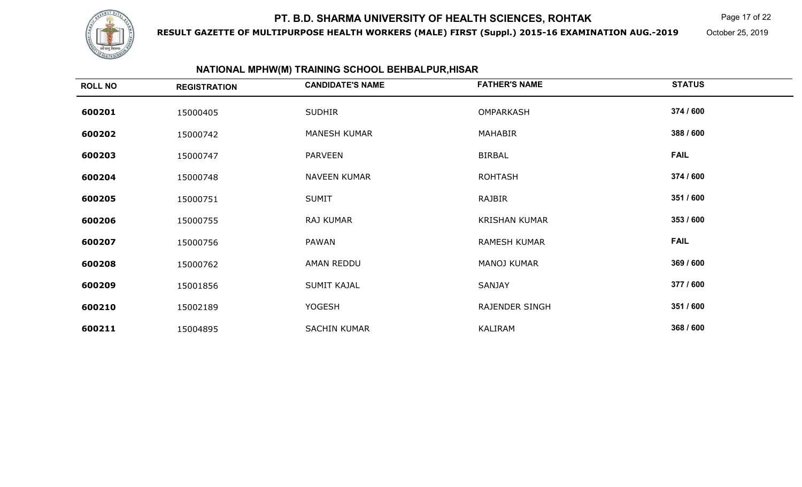

**RESULT GAZETTE OF MULTIPURPOSE HEALTH WORKERS (MALE) FIRST (Suppl.) 2015-16 EXAMINATION AUG.-2019**

Page 17 of 22

October 25, 2019

## **NATIONAL MPHW(M) TRAINING SCHOOL BEHBALPUR,HISAR**

| <b>ROLL NO</b> | <b>REGISTRATION</b> | <b>CANDIDATE'S NAME</b> | <b>FATHER'S NAME</b>  | <b>STATUS</b> |
|----------------|---------------------|-------------------------|-----------------------|---------------|
| 600201         | 15000405            | <b>SUDHIR</b>           | OMPARKASH             | 374 / 600     |
| 600202         | 15000742            | <b>MANESH KUMAR</b>     | MAHABIR               | 388 / 600     |
| 600203         | 15000747            | <b>PARVEEN</b>          | <b>BIRBAL</b>         | <b>FAIL</b>   |
| 600204         | 15000748            | <b>NAVEEN KUMAR</b>     | <b>ROHTASH</b>        | 374 / 600     |
| 600205         | 15000751            | <b>SUMIT</b>            | RAJBIR                | 351 / 600     |
| 600206         | 15000755            | RAJ KUMAR               | <b>KRISHAN KUMAR</b>  | 353 / 600     |
| 600207         | 15000756            | PAWAN                   | <b>RAMESH KUMAR</b>   | <b>FAIL</b>   |
| 600208         | 15000762            | AMAN REDDU              | MANOJ KUMAR           | 369 / 600     |
| 600209         | 15001856            | <b>SUMIT KAJAL</b>      | SANJAY                | 377 / 600     |
| 600210         | 15002189            | <b>YOGESH</b>           | <b>RAJENDER SINGH</b> | 351 / 600     |
| 600211         | 15004895            | <b>SACHIN KUMAR</b>     | KALIRAM               | 368 / 600     |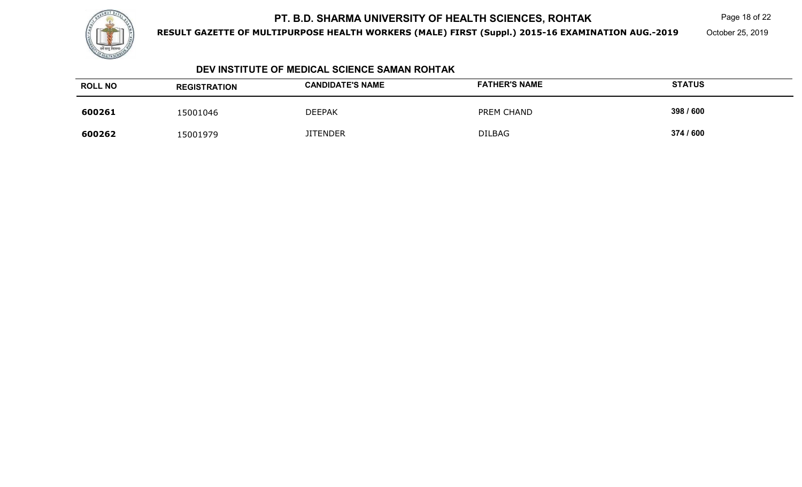

**RESULT GAZETTE OF MULTIPURPOSE HEALTH WORKERS (MALE) FIRST (Suppl.) 2015-16 EXAMINATION AUG.-2019**

Page 18 of 22

October 25, 2019

#### **DEV INSTITUTE OF MEDICAL SCIENCE SAMAN ROHTAK**

| <b>ROLL NO</b> | <b>REGISTRATION</b> | <b>CANDIDATE'S NAME</b> | <b>FATHER'S NAME</b> | <b>STATUS</b> |
|----------------|---------------------|-------------------------|----------------------|---------------|
| 600261         | 15001046            | <b>DEEPAK</b>           | PREM CHAND           | 398 / 600     |
| 600262         | 15001979            | <b>JITENDER</b>         | <b>DILBAG</b>        | 374 / 600     |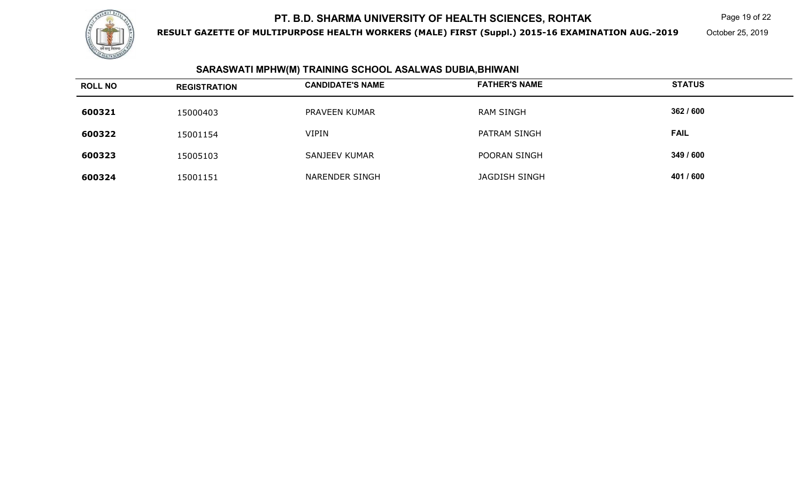

**RESULT GAZETTE OF MULTIPURPOSE HEALTH WORKERS (MALE) FIRST (Suppl.) 2015-16 EXAMINATION AUG.-2019**

Page 19 of 22

October 25, 2019

#### **SARASWATI MPHW(M) TRAINING SCHOOL ASALWAS DUBIA,BHIWANI**

| <b>ROLL NO</b> | <b>REGISTRATION</b> | <b>CANDIDATE'S NAME</b> | <b>FATHER'S NAME</b> | <b>STATUS</b> |
|----------------|---------------------|-------------------------|----------------------|---------------|
| 600321         | 15000403            | PRAVEEN KUMAR           | <b>RAM SINGH</b>     | 362 / 600     |
| 600322         | 15001154            | <b>VIPIN</b>            | PATRAM SINGH         | <b>FAIL</b>   |
| 600323         | 15005103            | <b>SANJEEV KUMAR</b>    | POORAN SINGH         | 349 / 600     |
| 600324         | 15001151            | NARENDER SINGH          | JAGDISH SINGH        | 401 / 600     |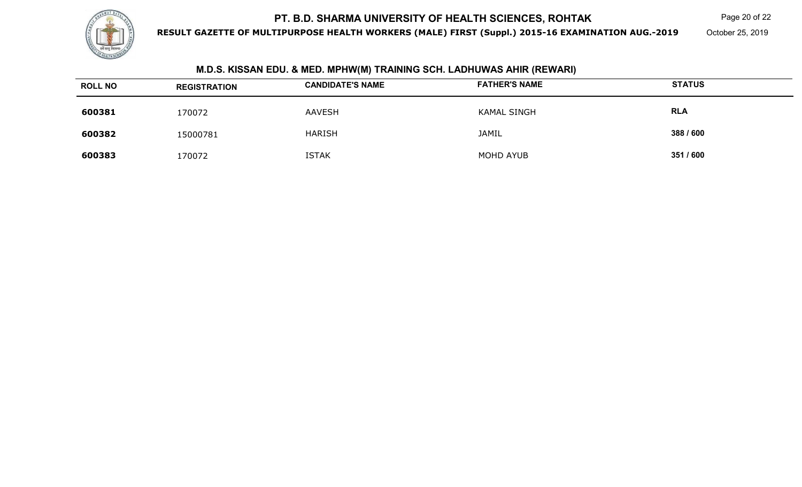

**RESULT GAZETTE OF MULTIPURPOSE HEALTH WORKERS (MALE) FIRST (Suppl.) 2015-16 EXAMINATION AUG.-2019**

Page 20 of 22

October 25, 2019

| IVI.D.S. NISSAN EDU. & IVIED. IVIPHVY(IVI) I KAINING SUH. LADHUVVAS AHIK (KEVVAKI) |                     |                         |                      |               |  |
|------------------------------------------------------------------------------------|---------------------|-------------------------|----------------------|---------------|--|
| <b>ROLL NO</b>                                                                     | <b>REGISTRATION</b> | <b>CANDIDATE'S NAME</b> | <b>FATHER'S NAME</b> | <b>STATUS</b> |  |
| 600381                                                                             | 170072              | <b>AAVESH</b>           | <b>KAMAL SINGH</b>   | <b>RLA</b>    |  |
| 600382                                                                             | 15000781            | <b>HARISH</b>           | <b>JAMIL</b>         | 388 / 600     |  |
| 600383                                                                             | 170072              | <b>ISTAK</b>            | MOHD AYUB            | 351 / 600     |  |

#### **M.D.S. KISSAN EDU. & MED. MPHW(M) TRAINING SCH. LADHUWAS AHIR (REWARI)**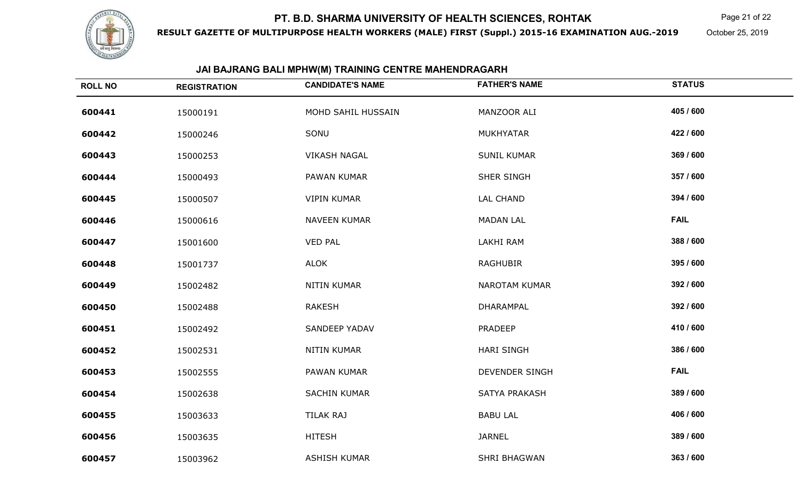

**RESULT GAZETTE OF MULTIPURPOSE HEALTH WORKERS (MALE) FIRST (Suppl.) 2015-16 EXAMINATION AUG.-2019**

Page 21 of 22

October 25, 2019

## **JAI BAJRANG BALI MPHW(M) TRAINING CENTRE MAHENDRAGARH**

| <b>ROLL NO</b> | <b>REGISTRATION</b> | <b>CANDIDATE'S NAME</b> | <b>FATHER'S NAME</b>  | <b>STATUS</b> |
|----------------|---------------------|-------------------------|-----------------------|---------------|
| 600441         | 15000191            | MOHD SAHIL HUSSAIN      | MANZOOR ALI           | 405 / 600     |
| 600442         | 15000246            | SONU                    | <b>MUKHYATAR</b>      | 422 / 600     |
| 600443         | 15000253            | <b>VIKASH NAGAL</b>     | <b>SUNIL KUMAR</b>    | 369 / 600     |
| 600444         | 15000493            | PAWAN KUMAR             | SHER SINGH            | 357 / 600     |
| 600445         | 15000507            | VIPIN KUMAR             | LAL CHAND             | 394 / 600     |
| 600446         | 15000616            | <b>NAVEEN KUMAR</b>     | <b>MADAN LAL</b>      | <b>FAIL</b>   |
| 600447         | 15001600            | <b>VED PAL</b>          | LAKHI RAM             | 388 / 600     |
| 600448         | 15001737            | <b>ALOK</b>             | <b>RAGHUBIR</b>       | 395 / 600     |
| 600449         | 15002482            | <b>NITIN KUMAR</b>      | <b>NAROTAM KUMAR</b>  | 392 / 600     |
| 600450         | 15002488            | <b>RAKESH</b>           | DHARAMPAL             | 392 / 600     |
| 600451         | 15002492            | <b>SANDEEP YADAV</b>    | PRADEEP               | 410 / 600     |
| 600452         | 15002531            | <b>NITIN KUMAR</b>      | <b>HARI SINGH</b>     | 386 / 600     |
| 600453         | 15002555            | PAWAN KUMAR             | <b>DEVENDER SINGH</b> | <b>FAIL</b>   |
| 600454         | 15002638            | <b>SACHIN KUMAR</b>     | SATYA PRAKASH         | 389 / 600     |
| 600455         | 15003633            | TILAK RAJ               | <b>BABU LAL</b>       | 406 / 600     |
| 600456         | 15003635            | <b>HITESH</b>           | <b>JARNEL</b>         | 389 / 600     |
| 600457         | 15003962            | <b>ASHISH KUMAR</b>     | SHRI BHAGWAN          | 363 / 600     |